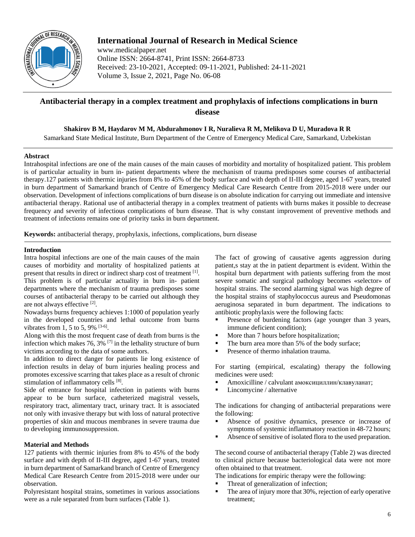

## **International Journal of Research in Medical Science**

www.medicalpaper.net Online ISSN: 2664-8741, Print ISSN: 2664-8733 Received: 23-10-2021, Accepted: 09-11-2021, Published: 24-11-2021 Volume 3, Issue 2, 2021, Page No. 06-08

# **Antibacterial therapy in a complex treatment and prophylaxis of infections complications in burn disease**

**Shakirov B M, Haydarov M M, Abdurahmonov I R, Nuralieva R M, Melikova D U, Muradova R R**

Samarkand State Medical Institute, Burn Department of the Centre of Emergency Medical Care, Samarkand, Uzbekistan

## **Abstract**

Intrahospital infections are one of the main causes of the main causes of morbidity and mortality of hospitalized patient. This problem is of particular actuality in burn in- patient departments where the mechanism of trauma predisposes some courses of antibacterial therapy.127 patients with thermic injuries from 8% to 45% of the body surface and with depth of II-III degree, aged 1-67 years, treated in burn department of Samarkand branch of Centre of Emergency Medical Care Research Centre from 2015-2018 were under our observation. Development of infections complications of burn disease is on absolute indication for carrying out immediate and intensive antibacterial therapy. Rational use of antibacterial therapy in a complex treatment of patients with burns makes it possible to decrease frequency and severity of infectious complications of burn disease. That is why constant improvement of preventive methods and treatment of infections remains one of priority tasks in burn department.

**Keywords:** antibacterial therapy, prophylaxis, infections, complications, burn disease

## **Introduction**

Intra hospital infections are one of the main causes of the main causes of morbidity and mortality of hospitalized patients at present that results in direct or indirect sharp cost of treatment [1]. This problem is of particular actuality in burn in- patient departments where the mechanism of trauma predisposes some courses of antibacterial therapy to be carried out although they are not always effective [2].

Nowadays burns frequency achieves 1:1000 of population yearly in the developed countries and lethal outcome from burns vibrates from 1, 5 to 5, 9%  $[3-6]$ .

Along with this the most frequent case of death from burns is the infection which makes  $76, 3\%$ <sup>[7]</sup> in the lethality structure of burn victims according to the data of some authors.

In addition to direct danger for patients lie long existence of infection results in delay of burn injuries healing process and promotes excessive scarring that takes place as a result of chronic stimulation of inflammatory cells [8].

Side of entrance for hospital infection in patients with burns appear to be burn surface, catheterized magistral vessels, respiratory tract, alimentary tract, urinary tract. It is associated not only with invasive therapy but with loss of natural protective properties of skin and mucous membranes in severe trauma due to developing immunosuppression.

### **Material and Methods**

127 patients with thermic injuries from 8% to 45% of the body surface and with depth of II-III degree, aged 1-67 years, treated in burn department of Samarkand branch of Centre of Emergency Medical Care Research Centre from 2015-2018 were under our observation.

Polyresistant hospital strains, sometimes in various associations were as a rule separated from burn surfaces (Table 1).

The fact of growing of causative agents aggression during patient,s stay at the in patient department is evident. Within the hospital burn department with patients suffering from the most severe somatic and surgical pathology becomes «selector» of hospital strains. The second alarming signal was high degree of the hospital strains of staphylococcus aureus and Pseudomonas aeruginosa separated in burn department. The indications to antibiotic prophylaxis were the following facts:

- **Presence of burdening factors (age younger than 3 years,** immune deficient condition);
- More than 7 hours before hospitalization;
- The burn area more than 5% of the body surface;
- Presence of thermo inhalation trauma.

For starting (empirical, escalating) therapy the following medicines were used:

- Amoxicilline / calvulant амоксициллин/клавуланат;
- Lincomycine / alternative

The indications for changing of antibacterial preparations were the following:

- Absence of positive dynamics, presence or increase of symptoms of systemic inflammatory reaction in 48-72 hours;
- Absence of sensitive of isolated flora to the used preparation.

The second course of antibacterial therapy (Table 2) was directed to clinical picture because bacteriological data were not more often obtained to that treatment.

The indications for empiric therapy were the following:

- Threat of generalization of infection;
- The area of injury more that 30%, rejection of early operative treatment;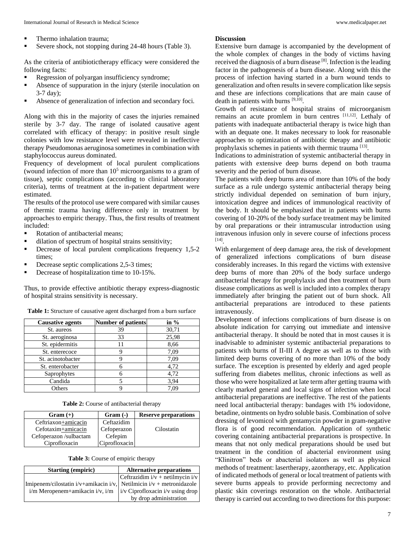- Thermo inhalation trauma;
- Severe shock, not stopping during 24-48 hours (Table 3).

As the criteria of antibiotictherapy efficacy were considered the following facts:

- Regression of polyargan insufficiency syndrome;
- Absence of suppuration in the injury (sterile inoculation on 3-7 day);
- Absence of generalization of infection and secondary foci.

Along with this in the majority of cases the injuries remained sterile by 3-7 day. The range of isolated causative agent correlated with efficacy of therapy: in positive result single colonies with low resistance level were revealed in ineffective therapy Pseudomonas aeruginosa sometimes in combination with staphylococcus aureus dominated.

Frequency of development of local purulent complications (wound infection of more than  $10<sup>5</sup>$  microorganisms to a gram of tissue), septic complications (according to clinical laboratory criteria), terms of treatment at the in-patient department were estimated.

The results of the protocol use were compared with similar causes of thermic trauma having difference only in treatment by approaches to empiric therapy. Thus, the first results of treatment included:

- Rotation of antibacterial means;
- dilation of spectrum of hospital strains sensitivity;
- Decrease of local purulent complications frequency 1,5-2 times;
- Decrease septic complications 2,5-3 times;
- Decrease of hospitalization time to 10-15%.

Thus, to provide effective antibiotic therapy express-diagnostic of hospital strains sensitivity is necessary.

| <b>Table 1:</b> Structure of causative agent discharged from a burn surface |  |  |
|-----------------------------------------------------------------------------|--|--|
|-----------------------------------------------------------------------------|--|--|

| <b>Causative agents</b> | <b>Number of patients</b> | in $%$ |
|-------------------------|---------------------------|--------|
| St. aureos              | 39                        | 30,71  |
| St. aeroginosa          | 33                        | 25,98  |
| St. epidermitis         | 11                        | 8,66   |
| St. enterecoce          |                           | 7,09   |
| St. acinotobacter       | Q                         | 7,09   |
| St. enterobacter        |                           | 4,72   |
| Saprophytes             |                           | 4,72   |
| Candida                 |                           | 3.94   |
| Others                  |                           | 7,09   |

| $Gram (+)$             | $Gram(-)$     | <b>Reserve preparations</b> |
|------------------------|---------------|-----------------------------|
| Ceftriaxon+amicacin    | Ceftazidim    |                             |
| Cefotaxim+amicacin     | Cefoperazon   | Cilostatin                  |
| Cefoperazon /sulbactam | Cefepim       |                             |
| Ciprofloxacin          | Ciprofloxacin |                             |

**Table 3:** Course of empiric therapy

| <b>Starting (empiric)</b>                                                     | <b>Alternative preparations</b>      |  |
|-------------------------------------------------------------------------------|--------------------------------------|--|
|                                                                               | Ceftrazidim $i/v$ + netilmycin $i/v$ |  |
| Imipenem/cilostatin i/v+amikacin i/v, Netilmicin i/v + metronidazole          |                                      |  |
| $i/m$ Meropenem+amikacin $i/v$ , $i/m$   $i/v$ Ciprofloxacin $i/v$ using drop |                                      |  |
|                                                                               | by drop administration               |  |

#### **Discussion**

Extensive burn damage is accompanied by the development of the whole complex of changes in the body of victims having received the diagnosis of a burn disease  $[8]$ . Infection is the leading factor in the pathogenesis of a burn disease. Along with this the process of infection having started in a burn wound tends to generalization and often results in severe complication like sepsis and these are infections complications that are main cause of death in patients with burns [9,10] .

Growth of resistance of hospital strains of microorganism remains an acute promlem in burn centres [11,12]. Lethaly of patients with inadequate antibacterial therapy is twice high than with an dequate one. It makes necessary to look for reasonable approaches to optimization of antibiotic therapy and antibiotic prophylaxis schemes in patients with thermic trauma [13].

Indications to administration of systemic antibacterial therapy in patients with extensive deep burns depend on both trauma severity and the period of burn disease.

The patients with deep burns area of more than 10% of the body surface as a rule undergo systemic antibacterial therapy being strictly individual depended on semination of burn injury, intoxication degree and indices of immunological reactivity of the body. It should be emphasized that in patients with burns covering of 10-20% of the body surface treatment may be limited by oral preparations or their intramuscular introduction using intravenous infusion only in severe course of infections process [14] .

With enlargement of deep damage area, the risk of development of generalized infections complications of burn disease considerably increases. In this regard the victims with extensive deep burns of more than 20% of the body surface undergo antibacterial therapy for prophylaxis and then treatment of burn disease complications as well is included into a complex therapy immediately after bringing the patient out of burn shock. All antibacterial preparations are introduced to these patients intravenously.

Development of infections complications of burn disease is on absolute indication for carrying out immediate and intensive antibacterial therapy. It should be noted that in most causes it is inadvisable to administer systemic antibacterial preparations to patients with burns of II-III А degree as well as to those with limited deep burns covering of no more than 10% of the body surface. The exception is presented by elderly and aged people suffering from diabetes mellitus, chronic infections as well as those who were hospitalized at late term after getting trauma with clearly marked general and local signs of infection when local antibacterial preparations are ineffective. The rest of the patients need local antibacterial therapy: bandages with 1% iodovidone, betadine, ointments on hydro soluble basis. Combination of solve dressing of levomicol with gentamycin powder in gram-negative flora is of good recommendation. Application of synthetic covering containing antibacterial preparations is prospective. In means that not only medical preparations should be used but treatment in the condition of abacterial environment using "Кlinitron" beds or abacterial isolators as well as physical methods of treatment: lasertherapy, azontherapy, etc. Application of indicated methods of general or local treatment of patients with severe burns appeals to provide performing necrectomy and plastic skin coverings restoration on the whole. Antibacterial therapy is carried out according to two directions for this purpose: